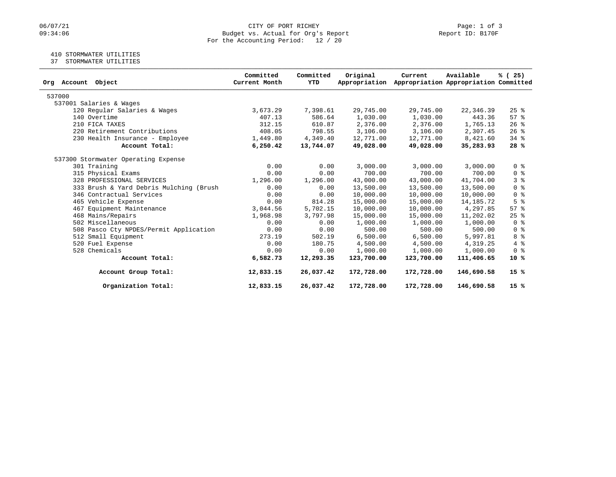# 06/07/21 CITY OF PORT RICHEY Page: 1 of 3<br>09:34:06 Budget vs. Actual for Org's Report Page: 1 Of 3 Budget vs. Actual for Org's Report For the Accounting Period: 12 / 20

# 410 STORMWATER UTILITIES

37 STORMWATER UTILITIES

| Org Account Object                      | Committed<br>Current Month | Committed<br>YTD | Original<br>Appropriation | Current    | Available<br>Appropriation Appropriation Committed | % (25)                             |
|-----------------------------------------|----------------------------|------------------|---------------------------|------------|----------------------------------------------------|------------------------------------|
| 537000                                  |                            |                  |                           |            |                                                    |                                    |
| 537001 Salaries & Wages                 |                            |                  |                           |            |                                                    |                                    |
| 120 Regular Salaries & Wages            | 3,673.29                   | 7,398.61         | 29,745.00                 | 29,745.00  | 22,346.39                                          | $25$ %                             |
| 140 Overtime                            | 407.13                     | 586.64           | 1,030.00                  | 1,030.00   | 443.36                                             | 57%                                |
| 210 FICA TAXES                          | 312.15                     | 610.87           | 2,376.00                  | 2,376.00   | 1,765.13                                           | $26$ %                             |
| 220 Retirement Contributions            | 408.05                     | 798.55           | 3,106.00                  | 3,106.00   | 2,307.45                                           | 26%                                |
| 230 Health Insurance - Employee         | 1,449.80                   | 4,349.40         | 12,771.00                 | 12,771.00  | 8,421.60                                           | $34$ $%$                           |
| Account Total:                          | 6,250.42                   | 13,744.07        | 49,028.00                 | 49,028.00  | 35,283.93                                          | 28%                                |
| 537300 Stormwater Operating Expense     |                            |                  |                           |            |                                                    |                                    |
| 301 Training                            | 0.00                       | 0.00             | 3,000.00                  | 3,000.00   | 3,000.00                                           | 0 <sup>8</sup>                     |
| 315 Physical Exams                      | 0.00                       | 0.00             | 700.00                    | 700.00     | 700.00                                             | 0 <sup>8</sup>                     |
| 328 PROFESSIONAL SERVICES               | 1,296.00                   | 1,296.00         | 43,000.00                 | 43,000.00  | 41,704.00                                          | 38                                 |
| 333 Brush & Yard Debris Mulching (Brush | 0.00                       | 0.00             | 13,500.00                 | 13,500.00  | 13,500.00                                          | 0 <sup>8</sup>                     |
| 346 Contractual Services                | 0.00                       | 0.00             | 10,000.00                 | 10,000.00  | 10,000.00                                          | 0 <sup>8</sup>                     |
| 465 Vehicle Expense                     | 0.00                       | 814.28           | 15,000.00                 | 15,000.00  | 14,185.72                                          | 5 <sup>8</sup>                     |
| 467 Equipment Maintenance               | 3,044.56                   | 5,702.15         | 10,000.00                 | 10,000.00  | 4,297.85                                           | 57%                                |
| 468 Mains/Repairs                       | 1,968.98                   | 3,797.98         | 15,000.00                 | 15,000.00  | 11,202.02                                          | $25$ $%$                           |
| 502 Miscellaneous                       | 0.00                       | 0.00             | 1,000.00                  | 1,000.00   | 1,000.00                                           | 0 <sup>8</sup>                     |
| 508 Pasco Cty NPDES/Permit Application  | 0.00                       | 0.00             | 500.00                    | 500.00     | 500.00                                             | $0 \text{ }$ $\text{ }$ $\text{ }$ |
| 512 Small Equipment                     | 273.19                     | 502.19           | 6,500.00                  | 6,500.00   | 5,997.81                                           | 8 %                                |
| 520 Fuel Expense                        | 0.00                       | 180.75           | 4,500.00                  | 4,500.00   | 4,319.25                                           | 4%                                 |
| 528 Chemicals                           | 0.00                       | 0.00             | 1,000.00                  | 1,000.00   | 1,000.00                                           | 0 <sup>8</sup>                     |
| Account Total:                          | 6,582.73                   | 12,293.35        | 123,700.00                | 123,700.00 | 111,406.65                                         | $10*$                              |
| Account Group Total:                    | 12,833.15                  | 26,037.42        | 172,728.00                | 172,728.00 | 146,690.58                                         | $15*$                              |
| Organization Total:                     | 12,833.15                  | 26,037.42        | 172,728.00                | 172,728.00 | 146,690.58                                         | 15%                                |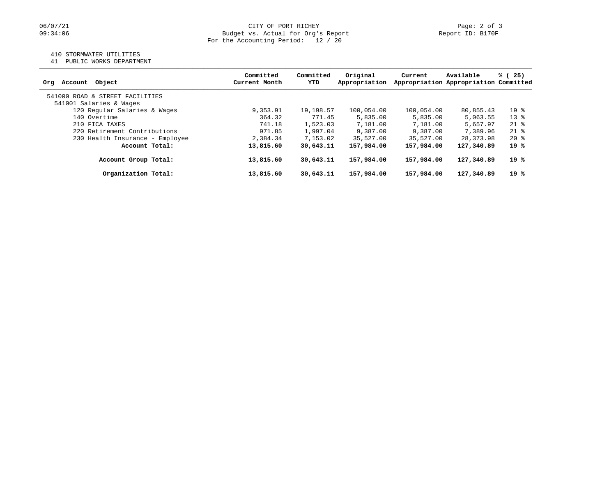### 410 STORMWATER UTILITIES

41 PUBLIC WORKS DEPARTMENT

| Account Object<br>Ora           | Committed<br>Current Month | Committed<br>YTD | Original<br>Appropriation | Current    | Available<br>Appropriation Appropriation Committed | % (25) |
|---------------------------------|----------------------------|------------------|---------------------------|------------|----------------------------------------------------|--------|
| 541000 ROAD & STREET FACILITIES |                            |                  |                           |            |                                                    |        |
| 541001 Salaries & Wages         |                            |                  |                           |            |                                                    |        |
| 120 Regular Salaries & Wages    | 9,353.91                   | 19,198.57        | 100,054.00                | 100,054.00 | 80,855.43                                          | $19*$  |
| 140 Overtime                    | 364.32                     | 771.45           | 5,835.00                  | 5,835.00   | 5,063.55                                           | $13*$  |
| 210 FICA TAXES                  | 741.18                     | 1,523.03         | 7,181.00                  | 7,181.00   | 5,657.97                                           | $21*$  |
| 220 Retirement Contributions    | 971.85                     | 1,997.04         | 9,387.00                  | 9,387.00   | 7,389.96                                           | $21*$  |
| 230 Health Insurance - Employee | 2,384.34                   | 7,153.02         | 35,527.00                 | 35,527.00  | 28, 373, 98                                        | $20*$  |
| Account Total:                  | 13,815.60                  | 30,643.11        | 157,984.00                | 157,984.00 | 127,340.89                                         | 19%    |
| Account Group Total:            | 13,815.60                  | 30,643.11        | 157,984.00                | 157,984.00 | 127,340.89                                         | 19 %   |
| Organization Total:             | 13,815.60                  | 30,643.11        | 157,984.00                | 157,984.00 | 127,340.89                                         | 19 %   |